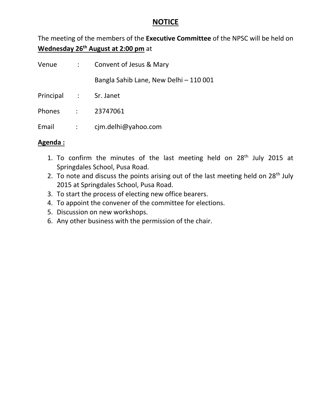### **NOTICE**

The meeting of the members of the **Executive Committee** of the NPSC will be held on **Wednesday 26th August at 2:00 pm** at

| Venue                 |               | : Convent of Jesus & Mary              |
|-----------------------|---------------|----------------------------------------|
|                       |               | Bangla Sahib Lane, New Delhi - 110 001 |
| Principal : Sr. Janet |               |                                        |
|                       |               | Phones : 23747061                      |
| Email                 | $\sim$ $\sim$ | cjm.delhi@yahoo.com                    |

### **Agenda :**

- 1. To confirm the minutes of the last meeting held on  $28<sup>th</sup>$  July 2015 at Springdales School, Pusa Road.
- 2. To note and discuss the points arising out of the last meeting held on  $28<sup>th</sup>$  July 2015 at Springdales School, Pusa Road.
- 3. To start the process of electing new office bearers.
- 4. To appoint the convener of the committee for elections.
- 5. Discussion on new workshops.
- 6. Any other business with the permission of the chair.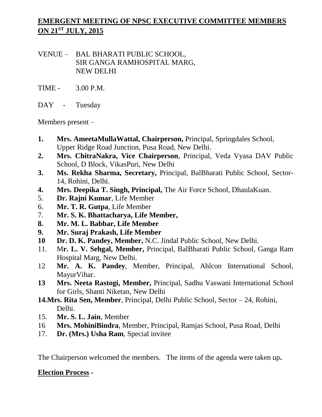# **EMERGENT MEETING OF NPSC EXECUTIVE COMMITTEE MEMBERS ON 21ST JULY, 2015**

VENUE – BAL BHARATI PUBLIC SCHOOL, SIR GANGA RAMHOSPITAL MARG, NEW DELHI

- TIME 3.00 P.M.
- DAY Tuesday

Members present –

- **1. Mrs. AmeetaMullaWattal, Chairperson,** Principal, Springdales School, Upper Ridge Road Junction, Pusa Road, New Delhi.
- **2. Mrs. ChitraNakra, Vice Chairperson**, Principal, Veda Vyasa DAV Public School, D Block, VikasPuri, New Delhi
- **3. Ms. Rekha Sharma, Secretary,** Principal, BalBharati Public School, Sector-14, Rohini, Delhi.
- **4. Mrs. Deepika T. Singh, Principal,** The Air Force School, DhaulaKuan.
- 5. **Dr. Rajni Kumar**, Life Member
- 6. **Mr. T. R. Gutpa**, Life Member
- 7. **Mr. S. K. Bhattacharya, Life Member,**
- **8. Mr. M. L. Babbar, Life Member**
- **9. Mr. Suraj Prakash, Life Member**
- **10 Dr. D. K. Pandey, Member,** N.C. Jindal Public School, New Delhi.
- 11. M**r. L. V. Sehgal, Member,** Principal, BalBharati Public School, Ganga Ram Hospital Marg, New Delhi.
- 12 **Mr. A. K. Pandey**, Member, Principal, Ahlcon International School, MayurVihar.
- **13 Mrs. Neeta Rastogi, Member,** Principal, Sadhu Vaswani International School for Girls, Shanti Niketan, New Delhi
- **14.Mrs. Rita Sen, Member**, Principal, Delhi Public School, Sector 24, Rohini, Delhi.
- 15. **Mr. S. L. Jain**, Member
- 16 **Mrs. MohiniBindra**, Member, Principal, Ramjas School, Pusa Road, Delhi
- 17. **Dr. (Mrs.) Usha Ram**, Special invitee

The Chairperson welcomed the members. The items of the agenda were taken up**.**

### **Election Process -**